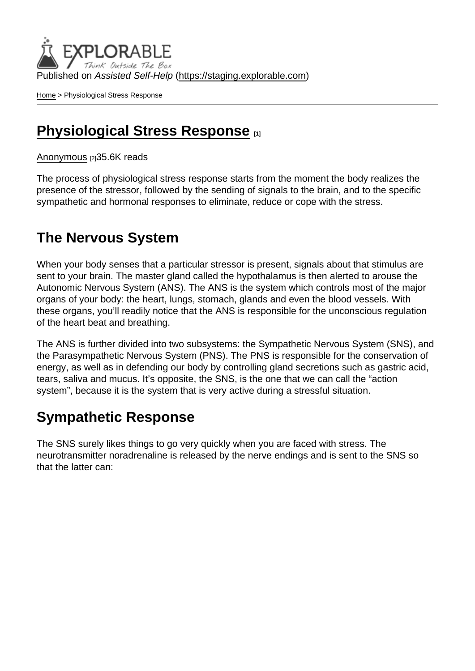Published on Assisted Self-Help [\(https://staging.explorable.com](https://staging.explorable.com))

[Home](https://staging.explorable.com/en) > Physiological Stress Response

### [Physiological Stress Response](https://staging.explorable.com/en/physiological-stress-response) [1]

[Anonymous](https://staging.explorable.com/en/users/sarah) [2]35.6K reads

The process of physiological stress response starts from the moment the body realizes the presence of the stressor, followed by the sending of signals to the brain, and to the specific sympathetic and hormonal responses to eliminate, reduce or cope with the stress.

## The Nervous System

When your body senses that a particular stressor is present, signals about that stimulus are sent to your brain. The master gland called the hypothalamus is then alerted to arouse the Autonomic Nervous System (ANS). The ANS is the system which controls most of the major organs of your body: the heart, lungs, stomach, glands and even the blood vessels. With these organs, you'll readily notice that the ANS is responsible for the unconscious regulation of the heart beat and breathing.

The ANS is further divided into two subsystems: the Sympathetic Nervous System (SNS), and the Parasympathetic Nervous System (PNS). The PNS is responsible for the conservation of energy, as well as in defending our body by controlling gland secretions such as gastric acid, tears, saliva and mucus. It's opposite, the SNS, is the one that we can call the "action system", because it is the system that is very active during a stressful situation.

## Sympathetic Response

The SNS surely likes things to go very quickly when you are faced with stress. The neurotransmitter noradrenaline is released by the nerve endings and is sent to the SNS so that the latter can: